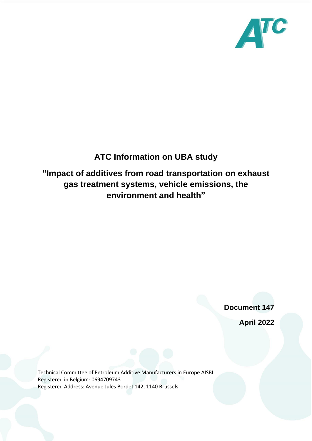

## **ATC Information on UBA study**

## **"Impact of additives from road transportation on exhaust gas treatment systems, vehicle emissions, the environment and health"**

**Document 147**

**April 2022**

Technical Committee of Petroleum Additive Manufacturers in Europe AISBL Registered in Belgium: 0694709743 Registered Address: Avenue Jules Bordet 142, 1140 Brussels